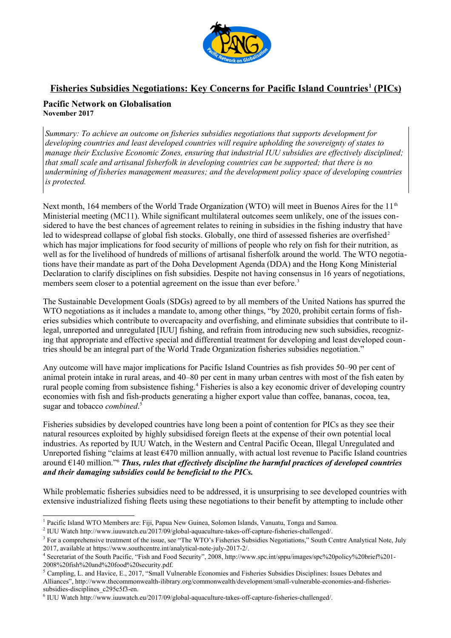

# **Fisheries Subsidies Negotiations: Key Concerns for Pacific Island Countries<sup>1</sup> (PICs)**

# **Pacific Network on Globalisation November 2017**

*Summary: To achieve an outcome on fisheries subsidies negotiations that supports development for developing countries and least developed countries will require upholding the sovereignty of states to manage their Exclusive Economic Zones, ensuring that industrial IUU subsidies are effectively disciplined; that small scale and artisanal fisherfolk in developing countries can be supported; that there is no undermining of fisheries management measures; and the development policy space of developing countries is protected.* 

Next month, 164 members of the World Trade Organization (WTO) will meet in Buenos Aires for the 11<sup>th</sup> Ministerial meeting (MC11). While significant multilateral outcomes seem unlikely, one of the issues considered to have the best chances of agreement relates to reining in subsidies in the fishing industry that have led to widespread collapse of global fish stocks. Globally, one third of assessed fisheries are overfished<sup>2</sup> which has major implications for food security of millions of people who rely on fish for their nutrition, as well as for the livelihood of hundreds of millions of artisanal fisherfolk around the world. The WTO negotiations have their mandate as part of the Doha Development Agenda (DDA) and the Hong Kong Ministerial Declaration to clarify disciplines on fish subsidies. Despite not having consensus in 16 years of negotiations, members seem closer to a potential agreement on the issue than ever before.<sup>3</sup>

The Sustainable Development Goals (SDGs) agreed to by all members of the United Nations has spurred the WTO negotiations as it includes a mandate to, among other things, "by 2020, prohibit certain forms of fisheries subsidies which contribute to overcapacity and overfishing, and eliminate subsidies that contribute to illegal, unreported and unregulated [IUU] fishing, and refrain from introducing new such subsidies, recognizing that appropriate and effective special and differential treatment for developing and least developed countries should be an integral part of the World Trade Organization fisheries subsidies negotiation."

Any outcome will have major implications for Pacific Island Countries as fish provides 50–90 per cent of animal protein intake in rural areas, and 40–80 per cent in many urban centres with most of the fish eaten by rural people coming from subsistence fishing.<sup>4</sup> Fisheries is also a key economic driver of developing country economies with fish and fish-products generating a higher export value than coffee, bananas, cocoa, tea, sugar and tobacco *combined*. [5](#page-0-4)

Fisheries subsidies by developed countries have long been a point of contention for PICs as they see their natural resources exploited by highly subsidised foreign fleets at the expense of their own potential local industries. As reported by IUU Watch, in the Western and Central Pacific Ocean, Illegal Unregulated and Unreported fishing "claims at least  $\epsilon$ 470 million annually, with actual lost revenue to Pacific Island countries around €140 million.["6](#page-0-5) *Thus, rules that effectively discipline the harmful practices of developed countries and their damaging subsidies could be beneficial to the PICs.*

While problematic fisheries subsidies need to be addressed, it is unsurprising to see developed countries with extensive industrialized fishing fleets using these negotiations to their benefit by attempting to include other

<span id="page-0-0"></span><sup>&</sup>lt;sup>1</sup> Pacific Island WTO Members are: Fiji, Papua New Guinea, Solomon Islands, Vanuatu, Tonga and Samoa.

<span id="page-0-1"></span><sup>2</sup> IUU Watch http://www.iuuwatch.eu/2017/09/global-aquaculture-takes-off-capture-fisheries-challenged/.

<span id="page-0-2"></span><sup>&</sup>lt;sup>3</sup> For a comprehensive treatment of the issue, see "The WTO's Fisheries Subsidies Negotiations," South Centre Analytical Note, July 2017, available at [https://www.southcentre.int/analytical-note-july-2017-2/.](https://www.southcentre.int/analytical-note-july-2017-2/) 4

<span id="page-0-3"></span>Secretariat of the South Pacific, "Fish and Food Security", 2008, http://www.spc.int/sppu/images/spc%20policy%20brief%201- 2008%20fish%20and%20food%20security.pdf.

<span id="page-0-4"></span><sup>5</sup> Campling, L. and Havice, E., 2017, "Small Vulnerable Economies and Fisheries Subsidies Disciplines: Issues Debates and Alliances", http://www.thecommonwealth-ilibrary.org/commonwealth/development/small-vulnerable-economies-and-fisheriessubsidies-disciplines c295c5f3-en.

<span id="page-0-5"></span><sup>6</sup> IUU Watch http://www.iuuwatch.eu/2017/09/global-aquaculture-takes-off-capture-fisheries-challenged/.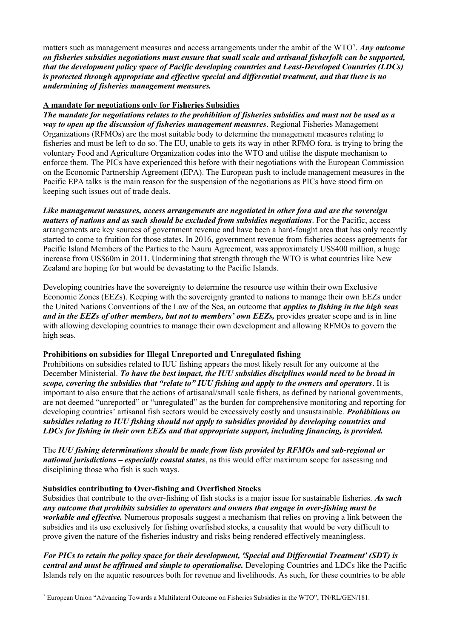matters such as management measures and access arrangements under the ambit of the WTO<sup>7</sup>. Any outcome *on fisheries subsidies negotiations must ensure that small scale and artisanal fisherfolk can be supported, that the development policy space of Pacific developing countries and Least-Developed Countries (LDCs) is protected through appropriate and effective special and differential treatment, and that there is no undermining of fisheries management measures.*

### **A mandate for negotiations only for Fisheries Subsidies**

*The mandate for negotiations relates to the prohibition of fisheries subsidies and must not be used as a way to open up the discussion of fisheries management measures*. Regional Fisheries Management Organizations (RFMOs) are the most suitable body to determine the management measures relating to fisheries and must be left to do so. The EU, unable to gets its way in other RFMO fora, is trying to bring the voluntary Food and Agriculture Organization codes into the WTO and utilise the dispute mechanism to enforce them. The PICs have experienced this before with their negotiations with the European Commission on the Economic Partnership Agreement (EPA). The European push to include management measures in the Pacific EPA talks is the main reason for the suspension of the negotiations as PICs have stood firm on keeping such issues out of trade deals.

*Like management measures, access arrangements are negotiated in other fora and are the sovereign matters of nations and as such should be excluded from subsidies negotiations*. For the Pacific, access arrangements are key sources of government revenue and have been a hard-fought area that has only recently started to come to fruition for those states. In 2016, government revenue from fisheries access agreements for Pacific Island Members of the Parties to the Nauru Agreement, was approximately US\$400 million, a huge increase from US\$60m in 2011. Undermining that strength through the WTO is what countries like New Zealand are hoping for but would be devastating to the Pacific Islands.

Developing countries have the sovereignty to determine the resource use within their own Exclusive Economic Zones (EEZs). Keeping with the sovereignty granted to nations to manage their own EEZs under the United Nations Conventions of the Law of the Sea, an outcome that *applies to fishing in the high seas and in the EEZs of other members, but not to members' own EEZs,* provides greater scope and is in line with allowing developing countries to manage their own development and allowing RFMOs to govern the high seas.

#### **Prohibitions on subsidies for Illegal Unreported and Unregulated fishing**

Prohibitions on subsidies related to IUU fishing appears the most likely result for any outcome at the December Ministerial. *To have the best impact, the IUU subsidies disciplines would need to be broad in scope, covering the subsidies that "relate to" IUU fishing and apply to the owners and operators*. It is important to also ensure that the actions of artisanal/small scale fishers, as defined by national governments, are not deemed "unreported" or "unregulated" as the burden for comprehensive monitoring and reporting for developing countries' artisanal fish sectors would be excessively costly and unsustainable. *Prohibitions on subsidies relating to IUU fishing should not apply to subsidies provided by developing countries and LDCs for fishing in their own EEZs and that appropriate support, including financing, is provided.*

The *IUU fishing determinations should be made from lists provided by RFMOs and sub-regional or national jurisdictions – especially coastal states*, as this would offer maximum scope for assessing and disciplining those who fish is such ways.

## **Subsidies contributing to Over-fishing and Overfished Stocks**

Subsidies that contribute to the over-fishing of fish stocks is a major issue for sustainable fisheries. *As such any outcome that prohibits subsidies to operators and owners that engage in over-fishing must be workable and effective.* Numerous proposals suggest a mechanism that relies on proving a link between the subsidies and its use exclusively for fishing overfished stocks, a causality that would be very difficult to prove given the nature of the fisheries industry and risks being rendered effectively meaningless.

*For PICs to retain the policy space for their development, 'Special and Differential Treatment' (SDT) is central and must be affirmed and simple to operationalise.* Developing Countries and LDCs like the Pacific Islands rely on the aquatic resources both for revenue and livelihoods. As such, for these countries to be able

<span id="page-1-0"></span><sup>&</sup>lt;sup>7</sup> European Union "Advancing Towards a Multilateral Outcome on Fisheries Subsidies in the WTO", TN/RL/GEN/181.